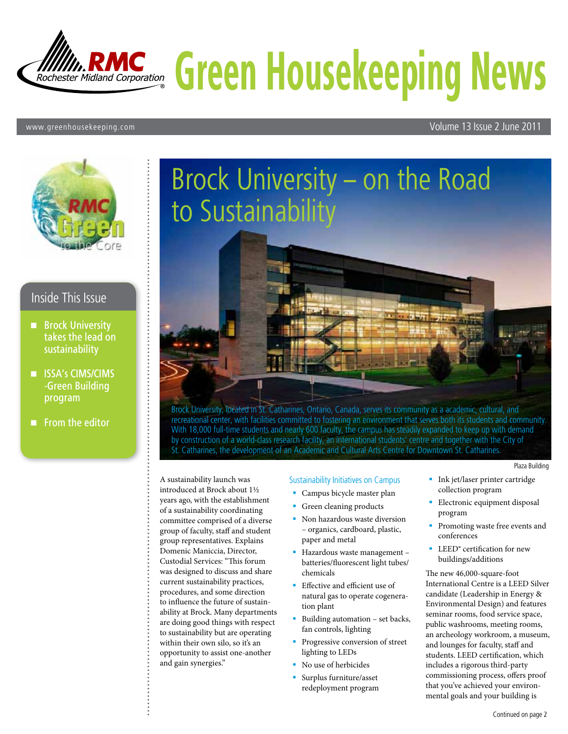

#### www.greenhousekeeping.com Volume 13 Issue 2 June 2011



### Inside This Issue

- **Brock University** takes the lead on sustainability
- **II** ISSA's CIMS/CIMS -Green Building program

 $\blacksquare$  From the editor

# Brock University – on the Road to Sustainability

Brock University, located in St. Catharines, Ontario, Canada, serves its community as a academic, cultural, and recreational center, with facilities committed to fostering an environment that serves both its students and community. With 18,000 full-time students and nearly 600 faculty, the campus has steadily expanded to keep up with demand by construction of a world-class research facility, an international students' centre and together with the City of St. Catharines, the development of an Academic and Cultural Arts Centre for Downtown St. Catharines.

A sustainability launch was introduced at Brock about 1½ years ago, with the establishment of a sustainability coordinating committee comprised of a diverse group of faculty, staff and student group representatives. Explains Domenic Maniccia, Director, Custodial Services: "This forum was designed to discuss and share current sustainability practices, procedures, and some direction to influence the future of sustainability at Brock. Many departments are doing good things with respect to sustainability but are operating within their own silo, so it's an opportunity to assist one-another and gain synergies."

#### Sustainability Initiatives on Campus

- **Campus bicycle master plan**
- Green cleaning products
- **Non hazardous waste diversion** – organics, cardboard, plastic, paper and metal
- **Hazardous waste management** batteries/fluorescent light tubes/ chemicals
- **Effective and efficient use of** natural gas to operate cogeneration plant
- Building automation set backs, fan controls, lighting
- **Progressive conversion of street** lighting to LEDs
- No use of herbicides
- Surplus furniture/asset redeployment program

**Ink** jet/laser printer cartridge collection program

Plaza Building

- **Electronic equipment disposal** program
- **Promoting waste free events and** conferences
- **LEED**<sup>®</sup> certification for new buildings/additions

The new 46,000-square-foot International Centre is a LEED Silver candidate (Leadership in Energy & Environmental Design) and features seminar rooms, food service space, public washrooms, meeting rooms, an archeology workroom, a museum, and lounges for faculty, staff and students. LEED certification, which includes a rigorous third-party commissioning process, offers proof that you've achieved your environmental goals and your building is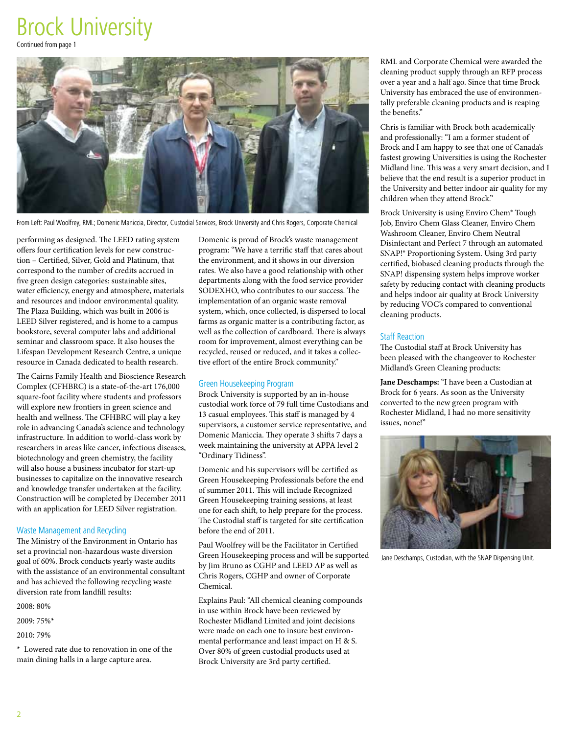# Brock University

Continued from page 1



From Left: Paul Woolfrey, RML; Domenic Maniccia, Director, Custodial Services, Brock University and Chris Rogers, Corporate Chemical

performing as designed. The LEED rating system offers four certification levels for new construction – Certified, Silver, Gold and Platinum, that correspond to the number of credits accrued in five green design categories: sustainable sites, water efficiency, energy and atmosphere, materials and resources and indoor environmental quality. The Plaza Building, which was built in 2006 is LEED Silver registered, and is home to a campus bookstore, several computer labs and additional seminar and classroom space. It also houses the Lifespan Development Research Centre, a unique resource in Canada dedicated to health research.

The Cairns Family Health and Bioscience Research Complex (CFHBRC) is a state-of-the-art 176,000 square-foot facility where students and professors will explore new frontiers in green science and health and wellness. The CFHBRC will play a key role in advancing Canada's science and technology infrastructure. In addition to world-class work by researchers in areas like cancer, infectious diseases, biotechnology and green chemistry, the facility will also house a business incubator for start-up businesses to capitalize on the innovative research and knowledge transfer undertaken at the facility. Construction will be completed by December 2011 with an application for LEED Silver registration.

#### Waste Management and Recycling

The Ministry of the Environment in Ontario has set a provincial non-hazardous waste diversion goal of 60%. Brock conducts yearly waste audits with the assistance of an environmental consultant and has achieved the following recycling waste diversion rate from landfill results:

2008: 80%

2009: 75%\*

2010: 79%

\* Lowered rate due to renovation in one of the main dining halls in a large capture area.

Domenic is proud of Brock's waste management program: "We have a terrific staff that cares about the environment, and it shows in our diversion rates. We also have a good relationship with other departments along with the food service provider SODEXHO, who contributes to our success. The implementation of an organic waste removal system, which, once collected, is dispersed to local farms as organic matter is a contributing factor, as well as the collection of cardboard. There is always room for improvement, almost everything can be recycled, reused or reduced, and it takes a collective effort of the entire Brock community."

#### Green Housekeeping Program

Brock University is supported by an in-house custodial work force of 79 full time Custodians and 13 casual employees. This staff is managed by 4 supervisors, a customer service representative, and Domenic Maniccia. They operate 3 shifts 7 days a week maintaining the university at APPA level 2 "Ordinary Tidiness".

Domenic and his supervisors will be certified as Green Housekeeping Professionals before the end of summer 2011. This will include Recognized Green Housekeeping training sessions, at least one for each shift, to help prepare for the process. The Custodial staff is targeted for site certification before the end of 2011.

Paul Woolfrey will be the Facilitator in Certified Green Housekeeping process and will be supported by Jim Bruno as CGHP and LEED AP as well as Chris Rogers, CGHP and owner of Corporate Chemical.

Explains Paul: "All chemical cleaning compounds in use within Brock have been reviewed by Rochester Midland Limited and joint decisions were made on each one to insure best environmental performance and least impact on H & S. Over 80% of green custodial products used at Brock University are 3rd party certified.

RML and Corporate Chemical were awarded the cleaning product supply through an RFP process over a year and a half ago. Since that time Brock University has embraced the use of environmentally preferable cleaning products and is reaping the benefits."

Chris is familiar with Brock both academically and professionally: "I am a former student of Brock and I am happy to see that one of Canada's fastest growing Universities is using the Rochester Midland line. This was a very smart decision, and I believe that the end result is a superior product in the University and better indoor air quality for my children when they attend Brock."

Brock University is using Enviro Chem® Tough Job, Enviro Chem Glass Cleaner, Enviro Chem Washroom Cleaner, Enviro Chem Neutral Disinfectant and Perfect 7 through an automated SNAP!® Proportioning System. Using 3rd party certified, biobased cleaning products through the SNAP! dispensing system helps improve worker safety by reducing contact with cleaning products and helps indoor air quality at Brock University by reducing VOC's compared to conventional cleaning products.

#### Staff Reaction

The Custodial staff at Brock University has been pleased with the changeover to Rochester Midland's Green Cleaning products:

**Jane Deschamps:** "I have been a Custodian at Brock for 6 years. As soon as the University converted to the new green program with Rochester Midland, I had no more sensitivity issues, none!"



Jane Deschamps, Custodian, with the SNAP Dispensing Unit.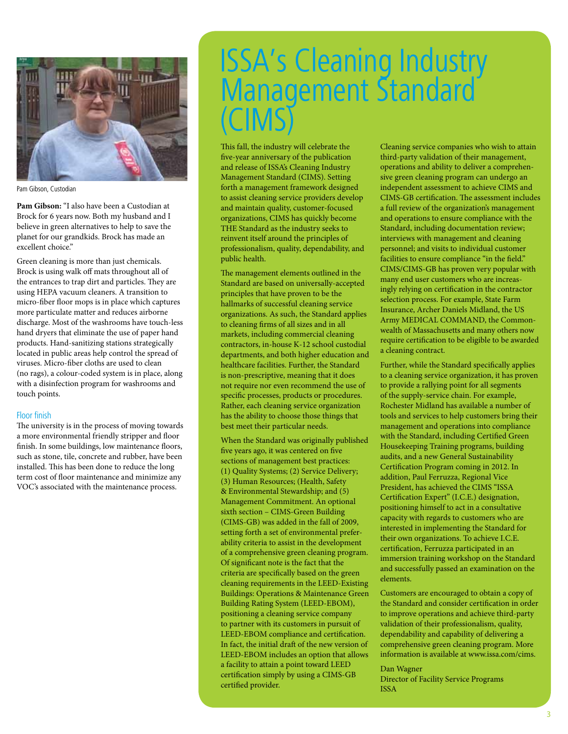

Pam Gibson, Custodian

**Pam Gibson:** "I also have been a Custodian at Brock for 6 years now. Both my husband and I believe in green alternatives to help to save the planet for our grandkids. Brock has made an excellent choice."

Green cleaning is more than just chemicals. Brock is using walk off mats throughout all of the entrances to trap dirt and particles. They are using HEPA vacuum cleaners. A transition to micro-fiber floor mops is in place which captures more particulate matter and reduces airborne discharge. Most of the washrooms have touch-less hand dryers that eliminate the use of paper hand products. Hand-sanitizing stations strategically located in public areas help control the spread of viruses. Micro-fiber cloths are used to clean (no rags), a colour-coded system is in place, along with a disinfection program for washrooms and touch points.

#### Floor finish

The university is in the process of moving towards a more environmental friendly stripper and floor finish. In some buildings, low maintenance floors, such as stone, tile, concrete and rubber, have been installed. This has been done to reduce the long term cost of floor maintenance and minimize any VOC's associated with the maintenance process.

# ISSA's Cleaning Industry Management Standard<sup>®</sup> (CIMS)

This fall, the industry will celebrate the five-year anniversary of the publication and release of ISSA's Cleaning Industry Management Standard (CIMS). Setting forth a management framework designed to assist cleaning service providers develop and maintain quality, customer-focused organizations, CIMS has quickly become THE Standard as the industry seeks to reinvent itself around the principles of professionalism, quality, dependability, and public health.

The management elements outlined in the Standard are based on universally-accepted principles that have proven to be the hallmarks of successful cleaning service organizations. As such, the Standard applies to cleaning firms of all sizes and in all markets, including commercial cleaning contractors, in-house K-12 school custodial departments, and both higher education and healthcare facilities. Further, the Standard is non-prescriptive, meaning that it does not require nor even recommend the use of specific processes, products or procedures. Rather, each cleaning service organization has the ability to choose those things that best meet their particular needs.

When the Standard was originally published five years ago, it was centered on five sections of management best practices: (1) Quality Systems; (2) Service Delivery; (3) Human Resources; (Health, Safety & Environmental Stewardship; and (5) Management Commitment. An optional sixth section – CIMS-Green Building (CIMS-GB) was added in the fall of 2009, setting forth a set of environmental preferability criteria to assist in the development of a comprehensive green cleaning program. Of significant note is the fact that the criteria are specifically based on the green cleaning requirements in the LEED-Existing Buildings: Operations & Maintenance Green Building Rating System (LEED-EBOM), positioning a cleaning service company to partner with its customers in pursuit of LEED-EBOM compliance and certification. In fact, the initial draft of the new version of LEED-EBOM includes an option that allows a facility to attain a point toward LEED certification simply by using a CIMS-GB certified provider.

Cleaning service companies who wish to attain third-party validation of their management, operations and ability to deliver a comprehensive green cleaning program can undergo an independent assessment to achieve CIMS and CIMS-GB certification. The assessment includes a full review of the organization's management and operations to ensure compliance with the Standard, including documentation review; interviews with management and cleaning personnel; and visits to individual customer facilities to ensure compliance "in the field." CIMS/CIMS-GB has proven very popular with many end user customers who are increasingly relying on certification in the contractor selection process. For example, State Farm Insurance, Archer Daniels Midland, the US Army MEDICAL COMMAND, the Commonwealth of Massachusetts and many others now require certification to be eligible to be awarded a cleaning contract.

Further, while the Standard specifically applies to a cleaning service organization, it has proven to provide a rallying point for all segments of the supply-service chain. For example, Rochester Midland has available a number of tools and services to help customers bring their management and operations into compliance with the Standard, including Certified Green Housekeeping Training programs, building audits, and a new General Sustainability Certification Program coming in 2012. In addition, Paul Ferruzza, Regional Vice President, has achieved the CIMS "ISSA Certification Expert" (I.C.E.) designation, positioning himself to act in a consultative capacity with regards to customers who are interested in implementing the Standard for their own organizations. To achieve I.C.E. certification, Ferruzza participated in an immersion training workshop on the Standard and successfully passed an examination on the elements.

Customers are encouraged to obtain a copy of the Standard and consider certification in order to improve operations and achieve third-party validation of their professionalism, quality, dependability and capability of delivering a comprehensive green cleaning program. More information is available at www.issa.com/cims.

#### Dan Wagner

Director of Facility Service Programs ISSA